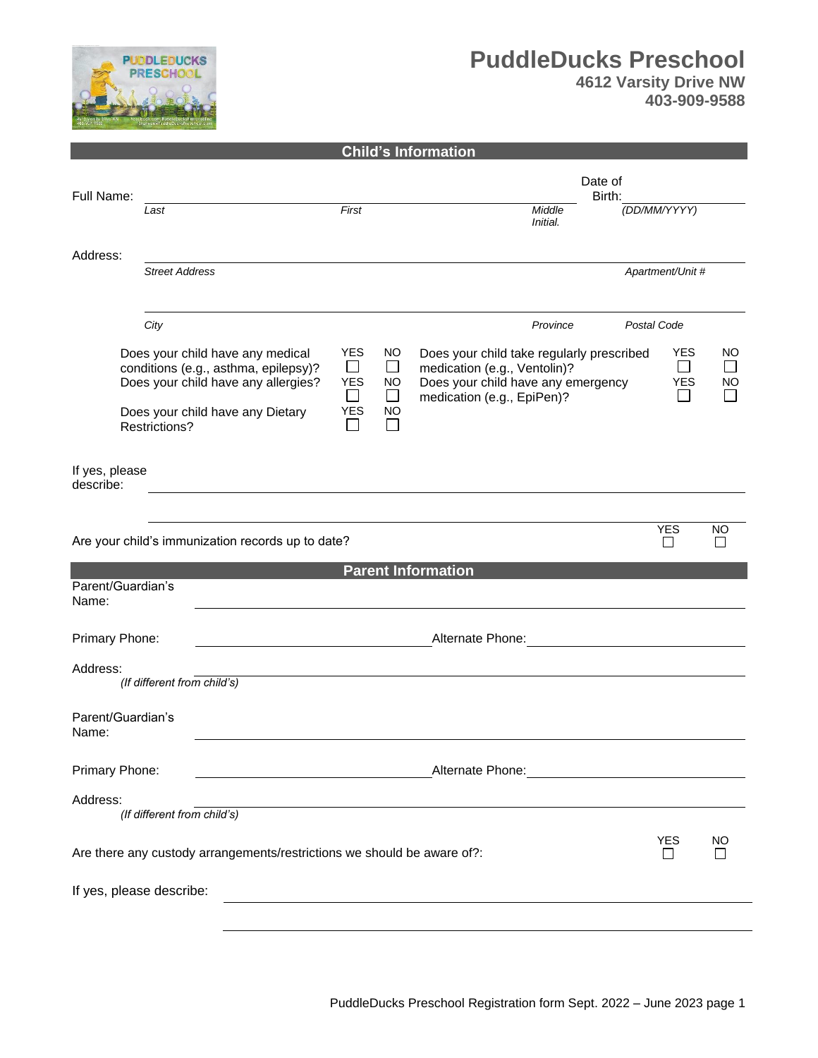

# **PuddleDucks Preschool**

|  | <b>4612 Varsity Drive NW</b> |
|--|------------------------------|
|  | 403-909-9588                 |

|                                                                                                                                                                                                                                                                                                             |                                  |                                                                 | Date of                      |                                                         |                                                                         |
|-------------------------------------------------------------------------------------------------------------------------------------------------------------------------------------------------------------------------------------------------------------------------------------------------------------|----------------------------------|-----------------------------------------------------------------|------------------------------|---------------------------------------------------------|-------------------------------------------------------------------------|
| Last                                                                                                                                                                                                                                                                                                        | First                            |                                                                 | Middle<br>Initial.           | (DD/MM/YYYY)                                            |                                                                         |
| <b>Street Address</b>                                                                                                                                                                                                                                                                                       |                                  |                                                                 |                              |                                                         |                                                                         |
|                                                                                                                                                                                                                                                                                                             |                                  |                                                                 |                              |                                                         |                                                                         |
| City                                                                                                                                                                                                                                                                                                        |                                  |                                                                 | Province                     | Postal Code                                             |                                                                         |
| <b>YES</b><br>Does your child have any medical<br>NO.<br>$\Box$<br>$\Box$<br>conditions (e.g., asthma, epilepsy)?<br>medication (e.g., Ventolin)?<br><b>YES</b><br>Does your child have any allergies?<br>Does your child have any emergency<br><b>NO</b><br>$\Box$<br>$\Box$<br>medication (e.g., EpiPen)? |                                  | <b>YES</b><br>$\blacksquare$<br><b>YES</b><br>$\blacksquare$    | NO<br>$\sim$<br>NO<br>$\sim$ |                                                         |                                                                         |
| Restrictions?                                                                                                                                                                                                                                                                                               |                                  |                                                                 |                              |                                                         |                                                                         |
| If yes, please                                                                                                                                                                                                                                                                                              |                                  |                                                                 |                              |                                                         |                                                                         |
|                                                                                                                                                                                                                                                                                                             |                                  |                                                                 |                              | <b>YES</b>                                              | NO                                                                      |
|                                                                                                                                                                                                                                                                                                             |                                  |                                                                 |                              |                                                         |                                                                         |
| Parent/Guardian's                                                                                                                                                                                                                                                                                           |                                  |                                                                 |                              |                                                         |                                                                         |
| Primary Phone:                                                                                                                                                                                                                                                                                              |                                  |                                                                 | Alternate Phone:             |                                                         |                                                                         |
| (If different from child's)                                                                                                                                                                                                                                                                                 |                                  |                                                                 |                              |                                                         |                                                                         |
| Parent/Guardian's                                                                                                                                                                                                                                                                                           |                                  |                                                                 |                              |                                                         |                                                                         |
| Primary Phone:<br>Alternate Phone: <u>contained</u> and alternate Phone:<br><u> 1980 - Johann Barbara, martxa alemaniar a</u>                                                                                                                                                                               |                                  |                                                                 |                              |                                                         |                                                                         |
| (If different from child's)                                                                                                                                                                                                                                                                                 |                                  |                                                                 |                              |                                                         |                                                                         |
| Are there any custody arrangements/restrictions we should be aware of?:                                                                                                                                                                                                                                     |                                  |                                                                 |                              | <b>YES</b><br>$\mathsf{L}$                              | NO                                                                      |
| If yes, please describe:                                                                                                                                                                                                                                                                                    |                                  |                                                                 |                              |                                                         |                                                                         |
|                                                                                                                                                                                                                                                                                                             | Does your child have any Dietary | <b>YES</b><br>Are your child's immunization records up to date? | <b>NO</b>                    | <b>Child's Information</b><br><b>Parent Information</b> | Birth:<br>Apartment/Unit #<br>Does your child take regularly prescribed |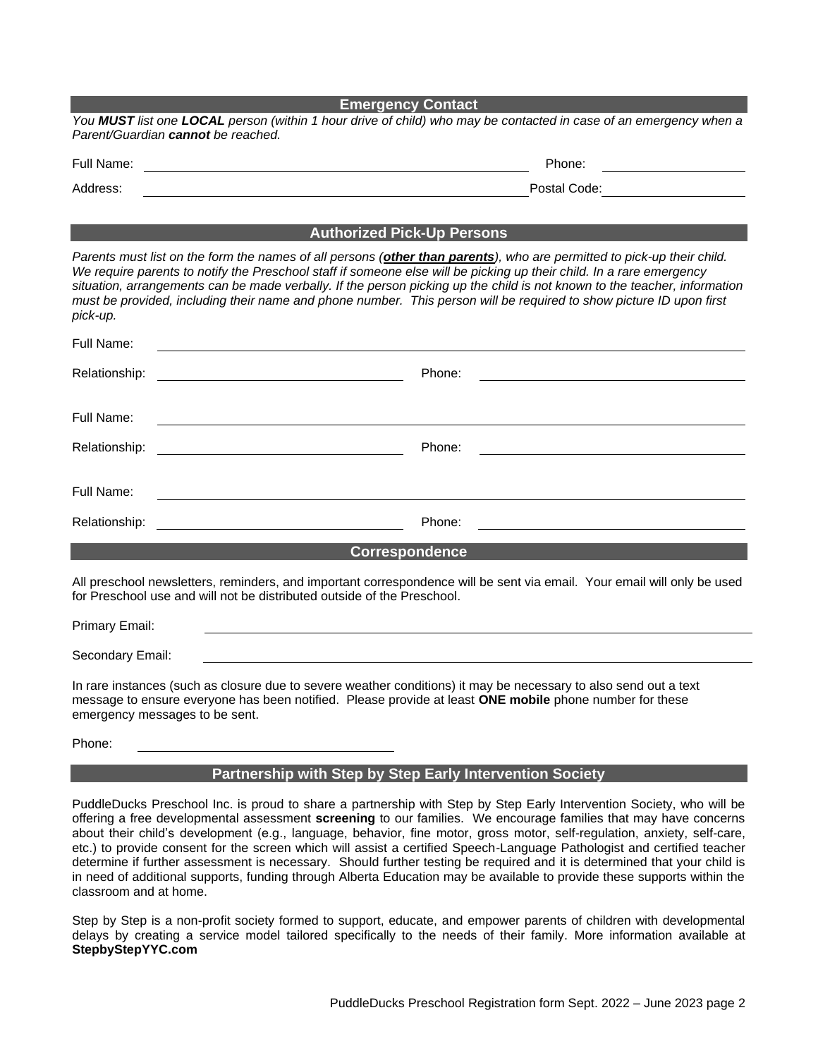|                  | <b>Emergency Contact</b>                                                                                                                                                                                                                                                                                                                                                                                                                                                                           |
|------------------|----------------------------------------------------------------------------------------------------------------------------------------------------------------------------------------------------------------------------------------------------------------------------------------------------------------------------------------------------------------------------------------------------------------------------------------------------------------------------------------------------|
|                  | You MUST list one LOCAL person (within 1 hour drive of child) who may be contacted in case of an emergency when a<br>Parent/Guardian cannot be reached.                                                                                                                                                                                                                                                                                                                                            |
| Full Name:       | Phone:                                                                                                                                                                                                                                                                                                                                                                                                                                                                                             |
| Address:         | Postal Code: The Contract of the Code:                                                                                                                                                                                                                                                                                                                                                                                                                                                             |
|                  |                                                                                                                                                                                                                                                                                                                                                                                                                                                                                                    |
|                  | <b>Authorized Pick-Up Persons</b>                                                                                                                                                                                                                                                                                                                                                                                                                                                                  |
| pick-up.         | Parents must list on the form the names of all persons (other than parents), who are permitted to pick-up their child.<br>We require parents to notify the Preschool staff if someone else will be picking up their child. In a rare emergency<br>situation, arrangements can be made verbally. If the person picking up the child is not known to the teacher, information<br>must be provided, including their name and phone number. This person will be required to show picture ID upon first |
| Full Name:       |                                                                                                                                                                                                                                                                                                                                                                                                                                                                                                    |
| Relationship:    | Phone:<br><u> 1989 - Johann Barnett, fransk politik (d. 1989)</u>                                                                                                                                                                                                                                                                                                                                                                                                                                  |
|                  |                                                                                                                                                                                                                                                                                                                                                                                                                                                                                                    |
| Full Name:       |                                                                                                                                                                                                                                                                                                                                                                                                                                                                                                    |
| Relationship:    | Phone:<br><u> 1980 - Johann Barn, mars ar breithinn ar breithinn ar breithinn ar breithinn ar breithinn ar breithinn ar br</u>                                                                                                                                                                                                                                                                                                                                                                     |
| Full Name:       |                                                                                                                                                                                                                                                                                                                                                                                                                                                                                                    |
| Relationship:    | Phone:                                                                                                                                                                                                                                                                                                                                                                                                                                                                                             |
|                  | <b>Correspondence</b>                                                                                                                                                                                                                                                                                                                                                                                                                                                                              |
|                  | All preschool newsletters, reminders, and important correspondence will be sent via email. Your email will only be used<br>for Preschool use and will not be distributed outside of the Preschool.                                                                                                                                                                                                                                                                                                 |
| Primary Email:   |                                                                                                                                                                                                                                                                                                                                                                                                                                                                                                    |
| Secondary Email: |                                                                                                                                                                                                                                                                                                                                                                                                                                                                                                    |
|                  |                                                                                                                                                                                                                                                                                                                                                                                                                                                                                                    |

In rare instances (such as closure due to severe weather conditions) it may be necessary to also send out a text message to ensure everyone has been notified. Please provide at least **ONE mobile** phone number for these emergency messages to be sent.

Phone:

### **Partnership with Step by Step Early Intervention Society**

PuddleDucks Preschool Inc. is proud to share a partnership with Step by Step Early Intervention Society, who will be offering a free developmental assessment **screening** to our families. We encourage families that may have concerns about their child's development (e.g., language, behavior, fine motor, gross motor, self-regulation, anxiety, self-care, etc.) to provide consent for the screen which will assist a certified Speech-Language Pathologist and certified teacher determine if further assessment is necessary. Should further testing be required and it is determined that your child is in need of additional supports, funding through Alberta Education may be available to provide these supports within the classroom and at home.

Step by Step is a non-profit society formed to support, educate, and empower parents of children with developmental delays by creating a service model tailored specifically to the needs of their family. More information available at **StepbyStepYYC.com**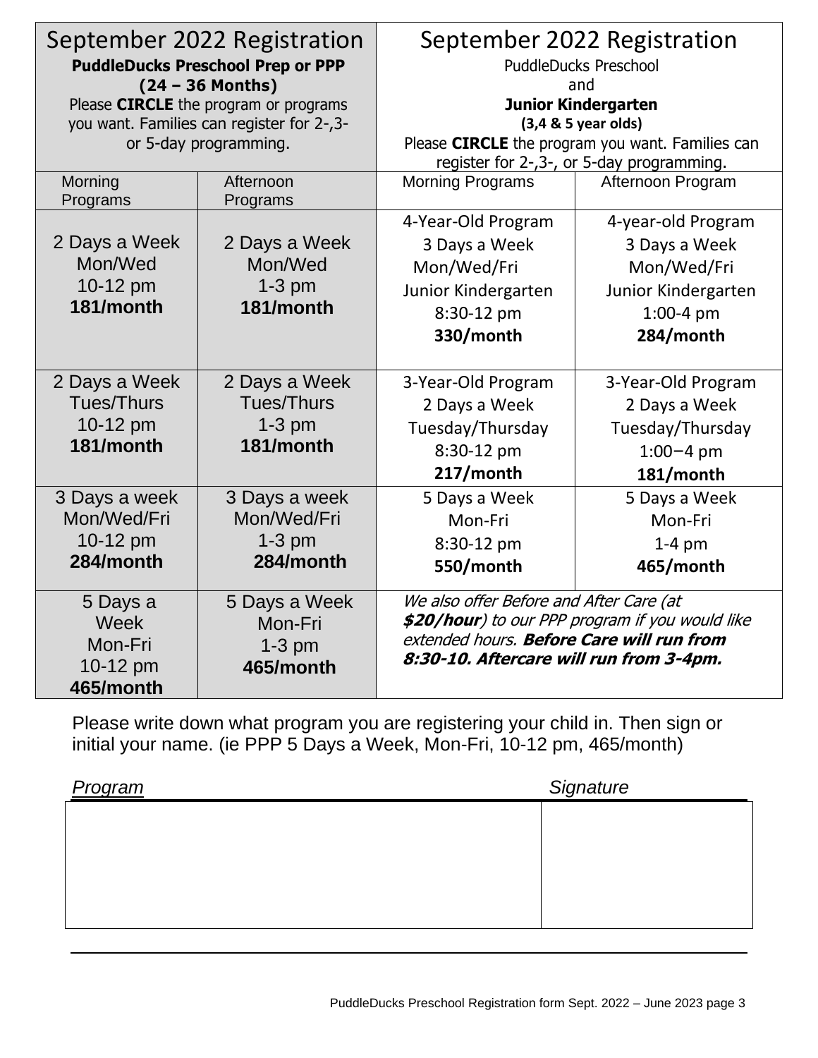| September 2022 Registration<br><b>PuddleDucks Preschool Prep or PPP</b><br>$(24 - 36$ Months) |                                                                    | September 2022 Registration<br><b>PuddleDucks Preschool</b><br>and                            |                            |  |
|-----------------------------------------------------------------------------------------------|--------------------------------------------------------------------|-----------------------------------------------------------------------------------------------|----------------------------|--|
|                                                                                               | Please CIRCLE the program or programs                              |                                                                                               | <b>Junior Kindergarten</b> |  |
|                                                                                               | you want. Families can register for 2-,3-<br>or 5-day programming. | $(3,4 & 5$ year olds)                                                                         |                            |  |
|                                                                                               |                                                                    | Please CIRCLE the program you want. Families can<br>register for 2-,3-, or 5-day programming. |                            |  |
| Morning                                                                                       | Afternoon                                                          | <b>Morning Programs</b>                                                                       | Afternoon Program          |  |
| Programs                                                                                      | Programs                                                           |                                                                                               |                            |  |
|                                                                                               |                                                                    | 4-Year-Old Program                                                                            | 4-year-old Program         |  |
| 2 Days a Week                                                                                 | 2 Days a Week                                                      | 3 Days a Week                                                                                 | 3 Days a Week              |  |
| Mon/Wed                                                                                       | Mon/Wed                                                            | Mon/Wed/Fri                                                                                   | Mon/Wed/Fri                |  |
| 10-12 pm                                                                                      | $1-3$ pm                                                           | Junior Kindergarten                                                                           | Junior Kindergarten        |  |
| 181/month                                                                                     | 181/month                                                          | 8:30-12 pm                                                                                    | 1:00-4 pm                  |  |
|                                                                                               |                                                                    | 330/month                                                                                     | 284/month                  |  |
|                                                                                               |                                                                    |                                                                                               |                            |  |
| 2 Days a Week                                                                                 | 2 Days a Week                                                      | 3-Year-Old Program                                                                            | 3-Year-Old Program         |  |
| <b>Tues/Thurs</b>                                                                             | <b>Tues/Thurs</b>                                                  | 2 Days a Week                                                                                 | 2 Days a Week              |  |
| 10-12 pm                                                                                      | $1-3$ pm                                                           | Tuesday/Thursday                                                                              | Tuesday/Thursday           |  |
| 181/month                                                                                     | 181/month                                                          | 8:30-12 pm                                                                                    | $1:00 - 4$ pm              |  |
|                                                                                               |                                                                    | 217/month                                                                                     | 181/month                  |  |
| 3 Days a week                                                                                 | 3 Days a week                                                      | 5 Days a Week                                                                                 | 5 Days a Week              |  |
| Mon/Wed/Fri                                                                                   | Mon/Wed/Fri                                                        | Mon-Fri                                                                                       | Mon-Fri                    |  |
| 10-12 pm                                                                                      | $1-3$ pm                                                           | 8:30-12 pm                                                                                    | $1-4$ pm                   |  |
| 284/month                                                                                     | 284/month                                                          | 550/month                                                                                     | 465/month                  |  |
| 5 Days a                                                                                      | 5 Days a Week                                                      | We also offer Before and After Care (at                                                       |                            |  |
| Week                                                                                          | Mon-Fri                                                            | \$20/hour) to our PPP program if you would like                                               |                            |  |
| Mon-Fri                                                                                       | $1-3$ pm                                                           | extended hours. Before Care will run from<br>8:30-10. Aftercare will run from 3-4pm.          |                            |  |
| 10-12 pm                                                                                      | 465/month                                                          |                                                                                               |                            |  |
| 465/month                                                                                     |                                                                    |                                                                                               |                            |  |

Please write down what program you are registering your child in. Then sign or initial your name. (ie PPP 5 Days a Week, Mon-Fri, 10-12 pm, 465/month)

| Signature |  |  |
|-----------|--|--|
|           |  |  |
|           |  |  |
|           |  |  |
|           |  |  |
|           |  |  |
|           |  |  |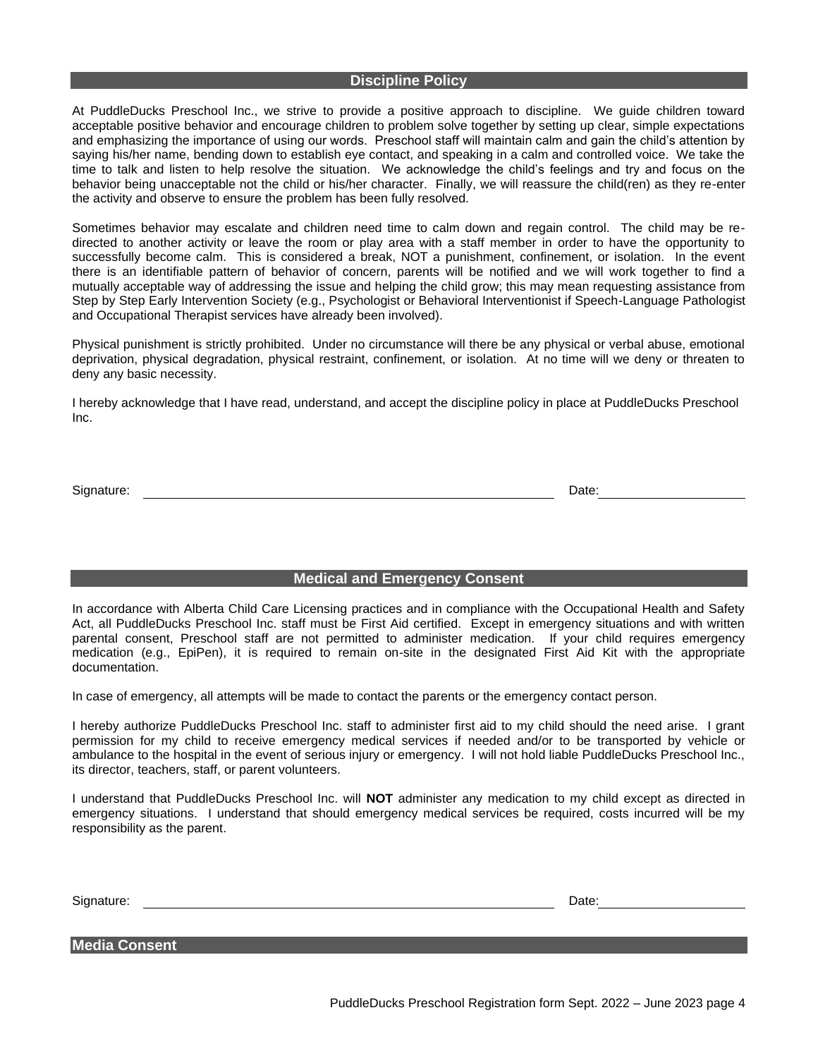#### **Discipline Policy**

At PuddleDucks Preschool Inc., we strive to provide a positive approach to discipline. We guide children toward acceptable positive behavior and encourage children to problem solve together by setting up clear, simple expectations and emphasizing the importance of using our words. Preschool staff will maintain calm and gain the child's attention by saying his/her name, bending down to establish eye contact, and speaking in a calm and controlled voice. We take the time to talk and listen to help resolve the situation. We acknowledge the child's feelings and try and focus on the behavior being unacceptable not the child or his/her character. Finally, we will reassure the child(ren) as they re-enter the activity and observe to ensure the problem has been fully resolved.

Sometimes behavior may escalate and children need time to calm down and regain control. The child may be redirected to another activity or leave the room or play area with a staff member in order to have the opportunity to successfully become calm. This is considered a break, NOT a punishment, confinement, or isolation. In the event there is an identifiable pattern of behavior of concern, parents will be notified and we will work together to find a mutually acceptable way of addressing the issue and helping the child grow; this may mean requesting assistance from Step by Step Early Intervention Society (e.g., Psychologist or Behavioral Interventionist if Speech-Language Pathologist and Occupational Therapist services have already been involved).

Physical punishment is strictly prohibited. Under no circumstance will there be any physical or verbal abuse, emotional deprivation, physical degradation, physical restraint, confinement, or isolation. At no time will we deny or threaten to deny any basic necessity.

I hereby acknowledge that I have read, understand, and accept the discipline policy in place at PuddleDucks Preschool Inc.

Signature: Date: Development and the contract of the contract of the contract of the Date: Date: Date: Date: D

#### **Medical and Emergency Consent**

In accordance with Alberta Child Care Licensing practices and in compliance with the Occupational Health and Safety Act, all PuddleDucks Preschool Inc. staff must be First Aid certified. Except in emergency situations and with written parental consent, Preschool staff are not permitted to administer medication. If your child requires emergency medication (e.g., EpiPen), it is required to remain on-site in the designated First Aid Kit with the appropriate documentation.

In case of emergency, all attempts will be made to contact the parents or the emergency contact person.

I hereby authorize PuddleDucks Preschool Inc. staff to administer first aid to my child should the need arise. I grant permission for my child to receive emergency medical services if needed and/or to be transported by vehicle or ambulance to the hospital in the event of serious injury or emergency. I will not hold liable PuddleDucks Preschool Inc., its director, teachers, staff, or parent volunteers.

I understand that PuddleDucks Preschool Inc. will **NOT** administer any medication to my child except as directed in emergency situations. I understand that should emergency medical services be required, costs incurred will be my responsibility as the parent.

Signature: Date: Date: Date: Date: Date: Date: Date: Date: Date: Date: Date: Date: Date: Date: Date: Date: Date: Date: Date: Date: Date: Date: Date: Date: Date: Date: Date: Date: Date: Date: Date: Date: Date: Date: Date: D

**Media Consent**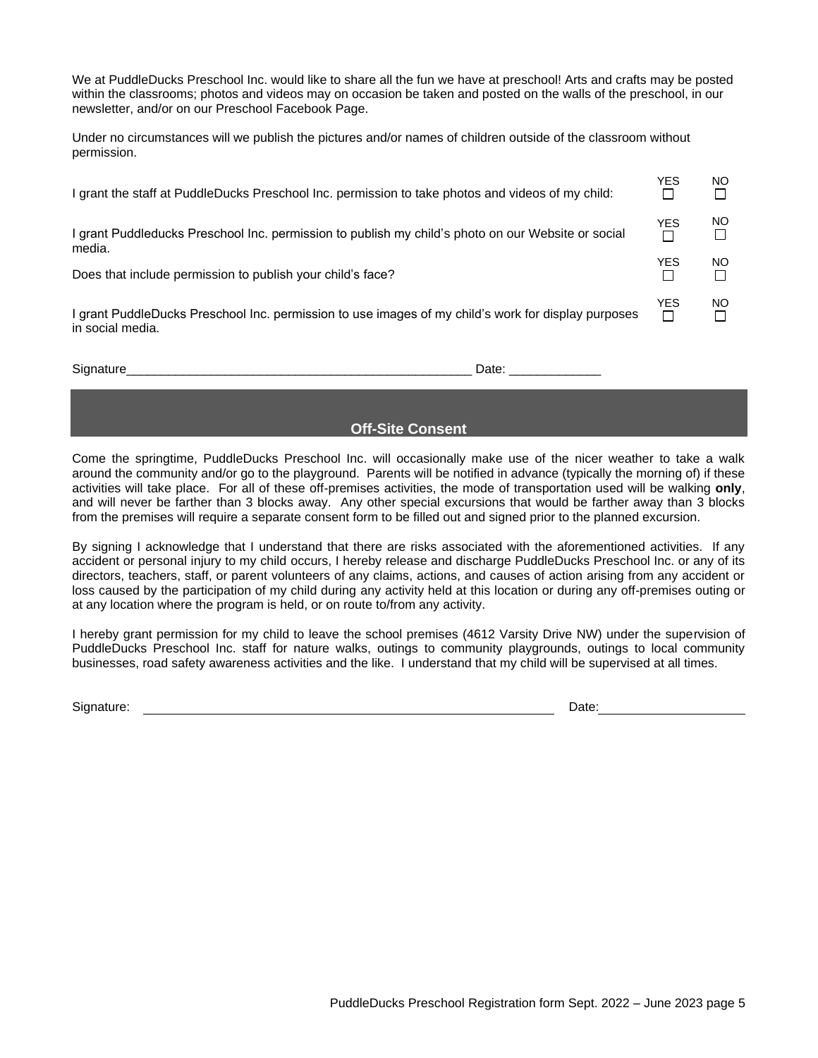We at PuddleDucks Preschool Inc. would like to share all the fun we have at preschool! Arts and crafts may be posted within the classrooms; photos and videos may on occasion be taken and posted on the walls of the preschool, in our newsletter, and/or on our Preschool Facebook Page.

Under no circumstances will we publish the pictures and/or names of children outside of the classroom without permission.

| I grant the staff at PuddleDucks Preschool Inc. permission to take photos and videos of my child:                       | <b>YES</b> | NO. |
|-------------------------------------------------------------------------------------------------------------------------|------------|-----|
| I grant Puddleducks Preschool Inc. permission to publish my child's photo on our Website or social<br>media.            | YES        | NO. |
| Does that include permission to publish your child's face?                                                              | YES        | NO. |
| I grant PuddleDucks Preschool Inc. permission to use images of my child's work for display purposes<br>in social media. | YES<br>П   | NO. |

Signature\_\_\_\_\_\_\_\_\_\_\_\_\_\_\_\_\_\_\_\_\_\_\_\_\_\_\_\_\_\_\_\_\_\_\_\_\_\_\_\_\_\_\_\_\_\_\_\_\_ Date: \_\_\_\_\_\_\_\_\_\_\_\_\_

## **Off-Site Consent**

Come the springtime, PuddleDucks Preschool Inc. will occasionally make use of the nicer weather to take a walk around the community and/or go to the playground. Parents will be notified in advance (typically the morning of) if these activities will take place. For all of these off-premises activities, the mode of transportation used will be walking **only**, and will never be farther than 3 blocks away. Any other special excursions that would be farther away than 3 blocks from the premises will require a separate consent form to be filled out and signed prior to the planned excursion.

By signing I acknowledge that I understand that there are risks associated with the aforementioned activities. If any accident or personal injury to my child occurs, I hereby release and discharge PuddleDucks Preschool Inc. or any of its directors, teachers, staff, or parent volunteers of any claims, actions, and causes of action arising from any accident or loss caused by the participation of my child during any activity held at this location or during any off-premises outing or at any location where the program is held, or on route to/from any activity.

I hereby grant permission for my child to leave the school premises (4612 Varsity Drive NW) under the supervision of PuddleDucks Preschool Inc. staff for nature walks, outings to community playgrounds, outings to local community businesses, road safety awareness activities and the like. I understand that my child will be supervised at all times.

Signature: Date: Date: Date: Date: Date: Date: Date: Date: Date: Date: Date: Date: Date: Date: Date: Date: Date: Date: Date: Date: Date: Date: Date: Date: Date: Date: Date: Date: Date: Date: Date: Date: Date: Date: Date: D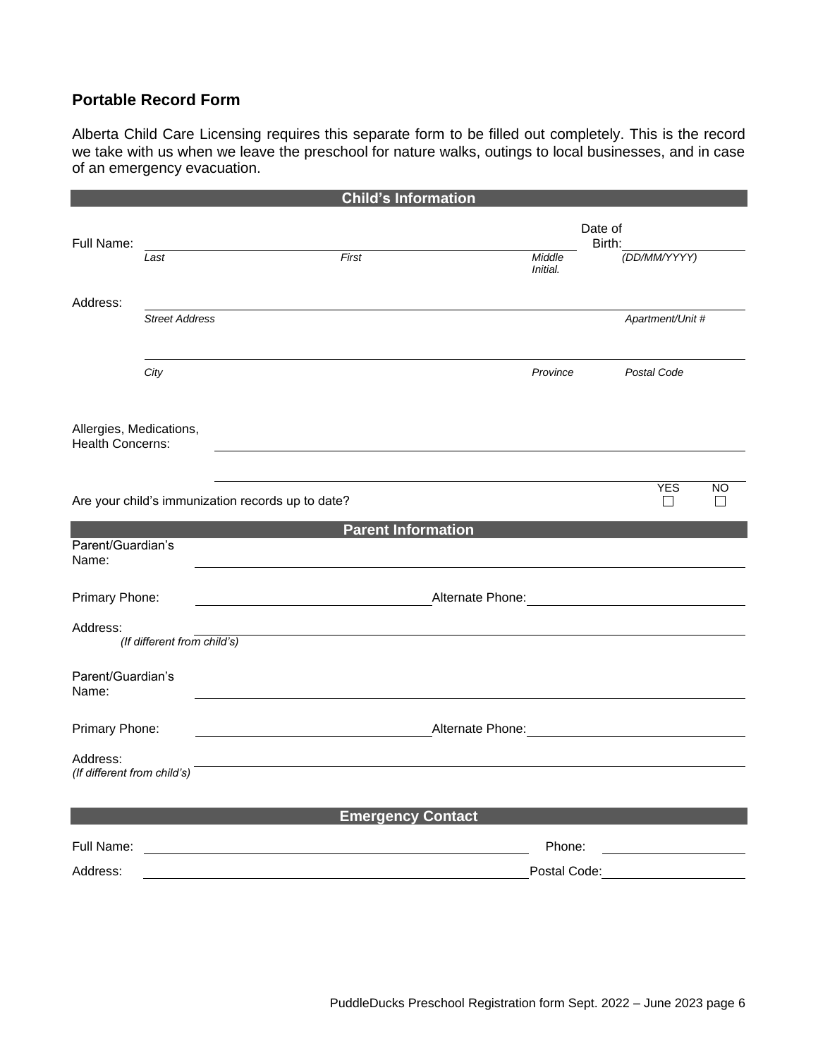# **Portable Record Form**

Alberta Child Care Licensing requires this separate form to be filled out completely. This is the record we take with us when we leave the preschool for nature walks, outings to local businesses, and in case of an emergency evacuation.

|                                                    |                                                   | <b>Child's Information</b>              |                                                                  |                                     |           |
|----------------------------------------------------|---------------------------------------------------|-----------------------------------------|------------------------------------------------------------------|-------------------------------------|-----------|
|                                                    |                                                   |                                         | Date of                                                          |                                     |           |
| Full Name:                                         | Last                                              | First                                   | Middle<br>Initial.                                               | Birth:<br>(DD/MM/YYYY)              |           |
| Address:                                           | <b>Street Address</b>                             |                                         |                                                                  | Apartment/Unit #                    |           |
|                                                    | City                                              |                                         | Province                                                         | Postal Code                         |           |
| Allergies, Medications,<br><b>Health Concerns:</b> |                                                   |                                         |                                                                  |                                     |           |
|                                                    | Are your child's immunization records up to date? |                                         |                                                                  | <b>YES</b><br>1 I                   | <b>NO</b> |
| Parent/Guardian's<br>Name:                         |                                                   | <b>Parent Information</b>               |                                                                  |                                     |           |
| Primary Phone:                                     |                                                   | <u> 1980 - Johann Barbara, martin a</u> |                                                                  |                                     |           |
| Address:                                           | (If different from child's)                       |                                         |                                                                  |                                     |           |
| Parent/Guardian's<br>Name:                         |                                                   |                                         |                                                                  |                                     |           |
| Primary Phone:                                     |                                                   |                                         | Alternate Phone: Manual Alternate Phone: Manual Alternate Phone: |                                     |           |
| Address:<br>(If different from child's)            |                                                   |                                         |                                                                  |                                     |           |
|                                                    |                                                   | <b>Emergency Contact</b>                |                                                                  |                                     |           |
| Full Name:                                         |                                                   |                                         | Phone:                                                           |                                     |           |
| Address:                                           |                                                   |                                         |                                                                  | Postal Code: ______________________ |           |